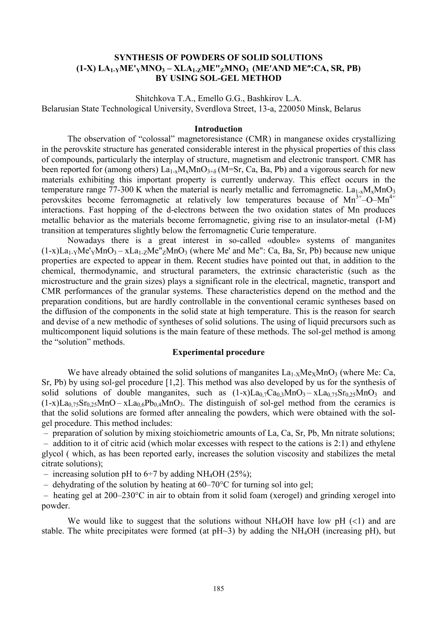# **SYNTHESIS OF POWDERS OF SOLID SOLUTIONS (1-X) LA1-YME'YMNO3 – XLA1-ZME"ZMNO3 (ME¢AND ME²:CA, SR, PB) BY USING SOL-GEL METHOD**

Shitchkova Т.А., Emello G.G., Bashkirov L.A. Belarusian State Technological University, Sverdlova Street, 13-a, 220050 Minsk, Belarus

#### **Introduction**

The observation of "colossal" magnetoresistance (CMR) in manganese oxides crystallizing in the perovskite structure has generated considerable interest in the physical properties of this class of compounds, particularly the interplay of structure, magnetism and electronic transport. CMR has been reported for (among others)  $La_{1-x}M_xMnO_{3+\delta}(M=Sr, Ca, Ba, Pb)$  and a vigorous search for new materials exhibiting this important property is currently underway. This effect occurs in the temperature range 77-300 K when the material is nearly metallic and ferromagnetic.  $La_{1-x}M_xMnO_3$ perovskites become ferromagnetic at relatively low temperatures because of  $Mn^{3+}$ -O-M $n^{4+}$ interactions. Fast hopping of the d-electrons between the two oxidation states of Mn produces metallic behavior as the materials become ferromagnetic, giving rise to an insulator-metal (I-M) transition at temperatures slightly below the ferromagnetic Curie temperature.

Nowadays there is a great interest in so-called «double» systems of manganites  $(1-x)La<sub>1</sub>-yMe'<sub>Y</sub>MnO<sub>3</sub> - xLa<sub>1</sub>-zMe"<sub>Z</sub>MnO<sub>3</sub>$  (where Me' and Me": Ca, Ba, Sr, Pb) because new unique properties are expected to appear in them. Recent studies have pointed out that, in addition to the chemical, thermodynamic, and structural parameters, the extrinsic characteristic (such as the microstructure and the grain sizes) plays a significant role in the electrical, magnetic, transport and CMR performances of the granular systems. These characteristics depend on the method and the preparation conditions, but are hardly controllable in the conventional ceramic syntheses based on the diffusion of the components in the solid state at high temperature. This is the reason for search and devise of a new methodic of syntheses of solid solutions. The using of liquid precursors such as multicomponent liquid solutions is the main feature of these methods. The sol-gel method is among the "solution" methods.

### **Experimental procedure**

We have already obtained the solid solutions of manganites  $La<sub>1-X</sub>Me<sub>X</sub>MnO<sub>3</sub>$  (where Me: Ca, Sr, Pb) by using sol-gel procedure [1,2]. This method was also developed by us for the synthesis of solid solutions of double manganites, such as  $(1-x)La_{0.7}Ca_{0.3}MnO_3 - xLa_{0.75}Sr_{0.25}MnO_3$  and  $(1-x)La<sub>0.75</sub>Sr<sub>0.25</sub>MnO – xLa<sub>0.6</sub>Pb<sub>0.4</sub>MnO<sub>3</sub>$ . The distinguish of sol-gel method from the ceramics is that the solid solutions are formed after annealing the powders, which were obtained with the solgel procedure. This method includes:

– preparation of solution by mixing stoichiometric amounts of La, Ca, Sr, Pb, Mn nitrate solutions;

 – addition to it of citric acid (which molar excesses with respect to the cations is 2:1) and ethylene glycol ( which, as has been reported early, increases the solution viscosity and stabilizes the metal citrate solutions);

– increasing solution pH to  $6\div 7$  by adding NH<sub>4</sub>OH (25%);

– dehydrating of the solution by heating at  $60-70^{\circ}$ C for turning sol into gel;

 – heating gel at 200–230°C in air to obtain from it solid foam (xerogel) and grinding xerogel into powder.

We would like to suggest that the solutions without NH<sub>4</sub>OH have low pH  $(\leq 1)$  and are stable. The white precipitates were formed (at  $pH~3$ ) by adding the NH<sub>4</sub>OH (increasing  $pH$ ), but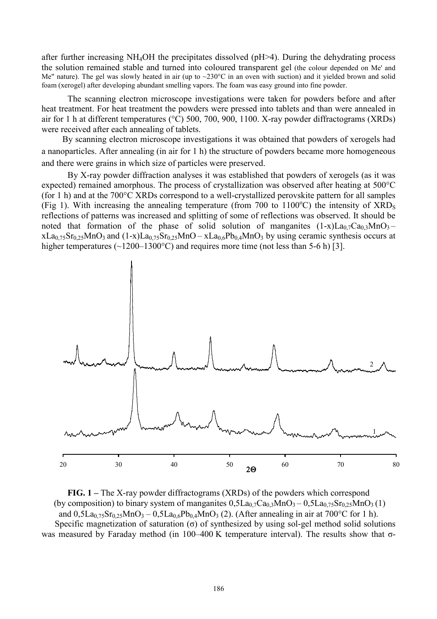after further increasing NH4OH the precipitates dissolved (pH>4). During the dehydrating process the solution remained stable and turned into coloured transparent gel (the colour depended on Me' and Me" nature). The gel was slowly heated in air (up to ~230°C in an oven with suction) and it yielded brown and solid foam (xerogel) after developing abundant smelling vapors. The foam was easy ground into fine powder.

The scanning electron microscope investigations were taken for powders before and after heat treatment. For heat treatment the powders were pressed into tablets and than were annealed in air for 1 h at different temperatures (°C) 500, 700, 900, 1100. X-ray powder diffractograms (XRDs) were received after each annealing of tablets.

By scanning electron microscope investigations it was obtained that powders of xerogels had a nanoparticles. After annealing (in air for 1 h) the structure of powders became more homogeneous and there were grains in which size of particles were preserved.

By X-ray powder diffraction analyses it was established that powders of xerogels (as it was expected) remained amorphous. The process of crystallization was observed after heating at 500°C (for 1 h) and at the 700°C XRDs correspond to a well-crystallized perovskite pattern for all samples (Fig 1). With increasing the annealing temperature (from 700 to  $1100^{\circ}$ C) the intensity of  $XRD_s$ reflections of patterns was increased and splitting of some of reflections was observed. It should be noted that formation of the phase of solid solution of manganites  $(1-x)La_{0.7}Ca_{0.3}MnO_3$  –  $xLa_{0.75}Sr_{0.25}MnO_3$  and  $(1-x)La_{0.75}Sr_{0.25}MnO - xLa_{0.6}Pb_{0.4}MnO_3$  by using ceramic synthesis occurs at higher temperatures ( $\sim$ 1200–1300°C) and requires more time (not less than 5-6 h) [3].



**FIG. 1 –** The X-ray powder diffractograms (XRDs) of the powders which correspond (by composition) to binary system of manganites  $0.5La_07Ca_03MnO_3 - 0.5La_075Sr_025MnO_3(1)$ and  $0.5La_{0.75}Sr_{0.25}MnO_3 - 0.5La_{0.6}Pb_{0.4}MnO_3$  (2). (After annealing in air at 700°C for 1 h). Specific magnetization of saturation  $\sigma$ ) of synthesized by using sol-gel method solid solutions was measured by Faraday method (in 100–400 K temperature interval). The results show that σ-